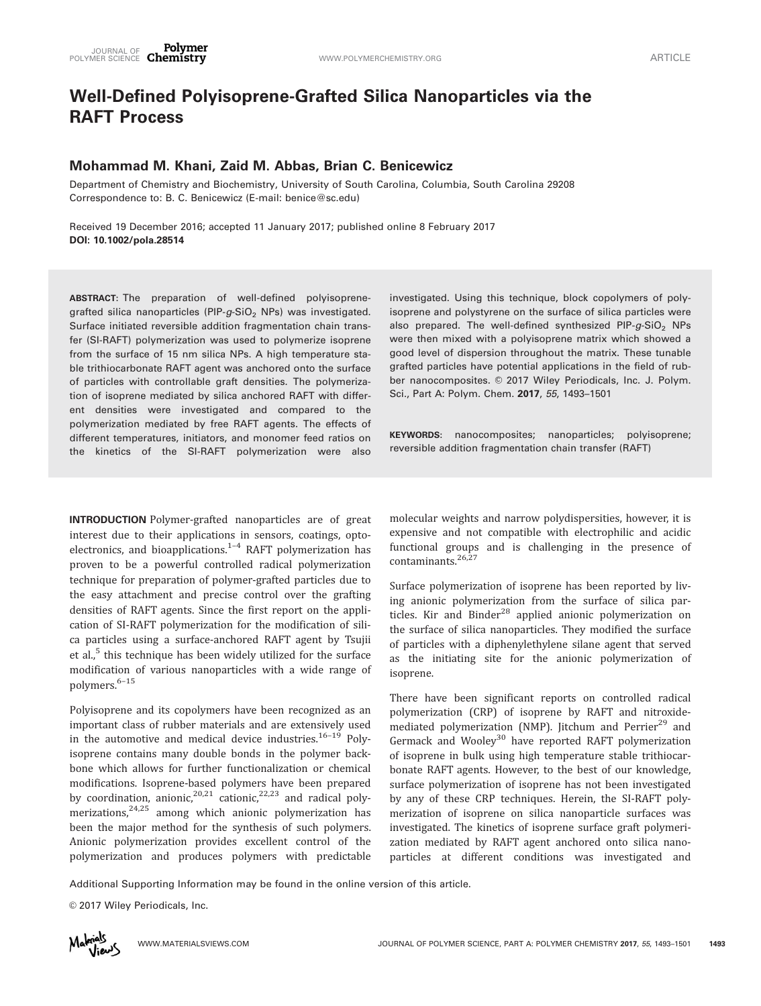# Well-Defined Polyisoprene-Grafted Silica Nanoparticles via the RAFT Process

# Mohammad M. Khani, Zaid M. Abbas, Brian C. Benicewicz

Department of Chemistry and Biochemistry, University of South Carolina, Columbia, South Carolina 29208 Correspondence to: B. C. Benicewicz (E-mail: benice@sc.edu)

Received 19 December 2016; accepted 11 January 2017; published online 8 February 2017 DOI: 10.1002/pola.28514

ABSTRACT: The preparation of well-defined polyisoprenegrafted silica nanoparticles (PIP- $g$ -SiO<sub>2</sub> NPs) was investigated. Surface initiated reversible addition fragmentation chain transfer (SI-RAFT) polymerization was used to polymerize isoprene from the surface of 15 nm silica NPs. A high temperature stable trithiocarbonate RAFT agent was anchored onto the surface of particles with controllable graft densities. The polymerization of isoprene mediated by silica anchored RAFT with different densities were investigated and compared to the polymerization mediated by free RAFT agents. The effects of different temperatures, initiators, and monomer feed ratios on the kinetics of the SI-RAFT polymerization were also

INTRODUCTION Polymer-grafted nanoparticles are of great interest due to their applications in sensors, coatings, optoelectronics, and bioapplications. $1-4$  RAFT polymerization has proven to be a powerful controlled radical polymerization technique for preparation of polymer-grafted particles due to the easy attachment and precise control over the grafting densities of RAFT agents. Since the first report on the application of SI-RAFT polymerization for the modification of silica particles using a surface-anchored RAFT agent by Tsujii et al., $<sup>5</sup>$  this technique has been widely utilized for the surface</sup> modification of various nanoparticles with a wide range of polymers.6–15

Polyisoprene and its copolymers have been recognized as an important class of rubber materials and are extensively used in the automotive and medical device industries. $16-19$  Polyisoprene contains many double bonds in the polymer backbone which allows for further functionalization or chemical modifications. Isoprene-based polymers have been prepared by coordination, anionic,<sup>20,21</sup> cationic,<sup>22,23</sup> and radical polymerizations, $24,25$  among which anionic polymerization has been the major method for the synthesis of such polymers. Anionic polymerization provides excellent control of the polymerization and produces polymers with predictable investigated. Using this technique, block copolymers of polyisoprene and polystyrene on the surface of silica particles were also prepared. The well-defined synthesized PIP- $g$ -SiO<sub>2</sub> NPs were then mixed with a polyisoprene matrix which showed a good level of dispersion throughout the matrix. These tunable grafted particles have potential applications in the field of rubber nanocomposites. © 2017 Wiley Periodicals, Inc. J. Polym. Sci., Part A: Polym. Chem. 2017, 55, 1493–1501

KEYWORDS: nanocomposites; nanoparticles; polyisoprene; reversible addition fragmentation chain transfer (RAFT)

molecular weights and narrow polydispersities, however, it is expensive and not compatible with electrophilic and acidic functional groups and is challenging in the presence of contaminants.<sup>26,27</sup>

Surface polymerization of isoprene has been reported by living anionic polymerization from the surface of silica particles. Kir and Binder<sup>28</sup> applied anionic polymerization on the surface of silica nanoparticles. They modified the surface of particles with a diphenylethylene silane agent that served as the initiating site for the anionic polymerization of isoprene.

There have been significant reports on controlled radical polymerization (CRP) of isoprene by RAFT and nitroxidemediated polymerization (NMP). Jitchum and Perrier<sup>29</sup> and Germack and Wooley<sup>30</sup> have reported RAFT polymerization of isoprene in bulk using high temperature stable trithiocarbonate RAFT agents. However, to the best of our knowledge, surface polymerization of isoprene has not been investigated by any of these CRP techniques. Herein, the SI-RAFT polymerization of isoprene on silica nanoparticle surfaces was investigated. The kinetics of isoprene surface graft polymerization mediated by RAFT agent anchored onto silica nanoparticles at different conditions was investigated and

Additional Supporting Information may be found in the online version of this article.

© 2017 Wiley Periodicals, Inc.

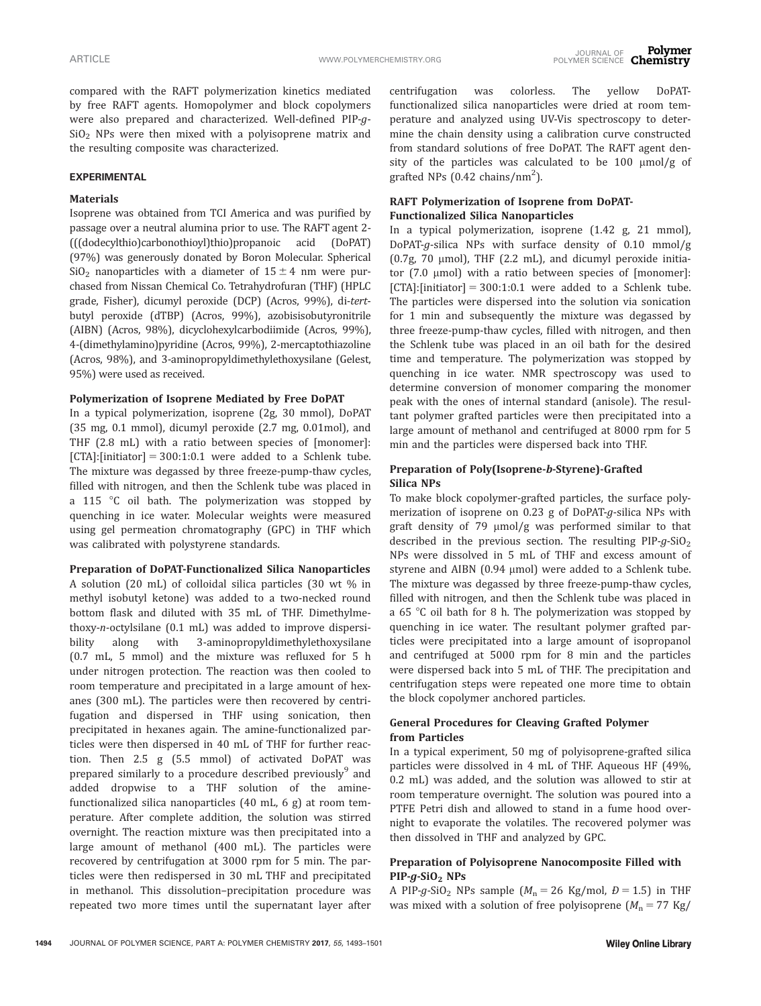compared with the RAFT polymerization kinetics mediated by free RAFT agents. Homopolymer and block copolymers were also prepared and characterized. Well-defined PIP-g- $SiO<sub>2</sub>$  NPs were then mixed with a polyisoprene matrix and the resulting composite was characterized.

#### EXPERIMENTAL

## **Materials**

Isoprene was obtained from TCI America and was purified by passage over a neutral alumina prior to use. The RAFT agent 2- (((dodecylthio)carbonothioyl)thio)propanoic acid (DoPAT) (97%) was generously donated by Boron Molecular. Spherical  $SiO<sub>2</sub>$  nanoparticles with a diameter of  $15 \pm 4$  nm were purchased from Nissan Chemical Co. Tetrahydrofuran (THF) (HPLC grade, Fisher), dicumyl peroxide (DCP) (Acros, 99%), di-tertbutyl peroxide (dTBP) (Acros, 99%), azobisisobutyronitrile (AIBN) (Acros, 98%), dicyclohexylcarbodiimide (Acros, 99%), 4-(dimethylamino)pyridine (Acros, 99%), 2-mercaptothiazoline (Acros, 98%), and 3-aminopropyldimethylethoxysilane (Gelest, 95%) were used as received.

#### Polymerization of Isoprene Mediated by Free DoPAT

In a typical polymerization, isoprene (2g, 30 mmol), DoPAT (35 mg, 0.1 mmol), dicumyl peroxide (2.7 mg, 0.01mol), and THF (2.8 mL) with a ratio between species of [monomer]:  $[CTA]:$ [initiator] = 300:1:0.1 were added to a Schlenk tube. The mixture was degassed by three freeze-pump-thaw cycles, filled with nitrogen, and then the Schlenk tube was placed in a 115  $\degree$ C oil bath. The polymerization was stopped by quenching in ice water. Molecular weights were measured using gel permeation chromatography (GPC) in THF which was calibrated with polystyrene standards.

#### Preparation of DoPAT-Functionalized Silica Nanoparticles

A solution (20 mL) of colloidal silica particles (30 wt % in methyl isobutyl ketone) was added to a two-necked round bottom flask and diluted with 35 mL of THF. Dimethylmethoxy-n-octylsilane (0.1 mL) was added to improve dispersibility along with 3-aminopropyldimethylethoxysilane (0.7 mL, 5 mmol) and the mixture was refluxed for 5 h under nitrogen protection. The reaction was then cooled to room temperature and precipitated in a large amount of hexanes (300 mL). The particles were then recovered by centrifugation and dispersed in THF using sonication, then precipitated in hexanes again. The amine-functionalized particles were then dispersed in 40 mL of THF for further reaction. Then 2.5 g (5.5 mmol) of activated DoPAT was prepared similarly to a procedure described previously<sup>9</sup> and added dropwise to a THF solution of the aminefunctionalized silica nanoparticles (40 mL, 6 g) at room temperature. After complete addition, the solution was stirred overnight. The reaction mixture was then precipitated into a large amount of methanol (400 mL). The particles were recovered by centrifugation at 3000 rpm for 5 min. The particles were then redispersed in 30 mL THF and precipitated in methanol. This dissolution–precipitation procedure was repeated two more times until the supernatant layer after centrifugation was colorless. The yellow DoPATfunctionalized silica nanoparticles were dried at room temperature and analyzed using UV-Vis spectroscopy to determine the chain density using a calibration curve constructed from standard solutions of free DoPAT. The RAFT agent density of the particles was calculated to be  $100 \mu \text{mol/g}$  of grafted NPs  $(0.42 \text{ chains/nm}^2)$ .

## RAFT Polymerization of Isoprene from DoPAT-Functionalized Silica Nanoparticles

In a typical polymerization, isoprene (1.42 g, 21 mmol), DoPAT-g-silica NPs with surface density of 0.10 mmol/g  $(0.7g, 70 \mu \text{mol})$ , THF  $(2.2 \mu L)$ , and dicumyl peroxide initiator  $(7.0 \mu \text{mol})$  with a ratio between species of  $[$ monomer $]$ :  $[CTA]:$ [initiator] = 300:1:0.1 were added to a Schlenk tube. The particles were dispersed into the solution via sonication for 1 min and subsequently the mixture was degassed by three freeze-pump-thaw cycles, filled with nitrogen, and then the Schlenk tube was placed in an oil bath for the desired time and temperature. The polymerization was stopped by quenching in ice water. NMR spectroscopy was used to determine conversion of monomer comparing the monomer peak with the ones of internal standard (anisole). The resultant polymer grafted particles were then precipitated into a large amount of methanol and centrifuged at 8000 rpm for 5 min and the particles were dispersed back into THF.

## Preparation of Poly(Isoprene-b-Styrene)-Grafted Silica NPs

To make block copolymer-grafted particles, the surface polymerization of isoprene on 0.23 g of DoPAT-g-silica NPs with graft density of 79  $\mu$ mol/g was performed similar to that described in the previous section. The resulting  $PIP-g-SiO<sub>2</sub>$ NPs were dissolved in 5 mL of THF and excess amount of styrene and AIBN  $(0.94 \mu \text{mol})$  were added to a Schlenk tube. The mixture was degassed by three freeze-pump-thaw cycles, filled with nitrogen, and then the Schlenk tube was placed in a 65  $\degree$ C oil bath for 8 h. The polymerization was stopped by quenching in ice water. The resultant polymer grafted particles were precipitated into a large amount of isopropanol and centrifuged at 5000 rpm for 8 min and the particles were dispersed back into 5 mL of THF. The precipitation and centrifugation steps were repeated one more time to obtain the block copolymer anchored particles.

# General Procedures for Cleaving Grafted Polymer from Particles

In a typical experiment, 50 mg of polyisoprene-grafted silica particles were dissolved in 4 mL of THF. Aqueous HF (49%, 0.2 mL) was added, and the solution was allowed to stir at room temperature overnight. The solution was poured into a PTFE Petri dish and allowed to stand in a fume hood overnight to evaporate the volatiles. The recovered polymer was then dissolved in THF and analyzed by GPC.

# Preparation of Polyisoprene Nanocomposite Filled with  $PIP-g-SiO<sub>2</sub> NPs$

A PIP-g-SiO<sub>2</sub> NPs sample  $(M_n = 26 \text{ Kg/mol}, D = 1.5)$  in THF was mixed with a solution of free polyisoprene  $(M_n = 77 \text{ kg})$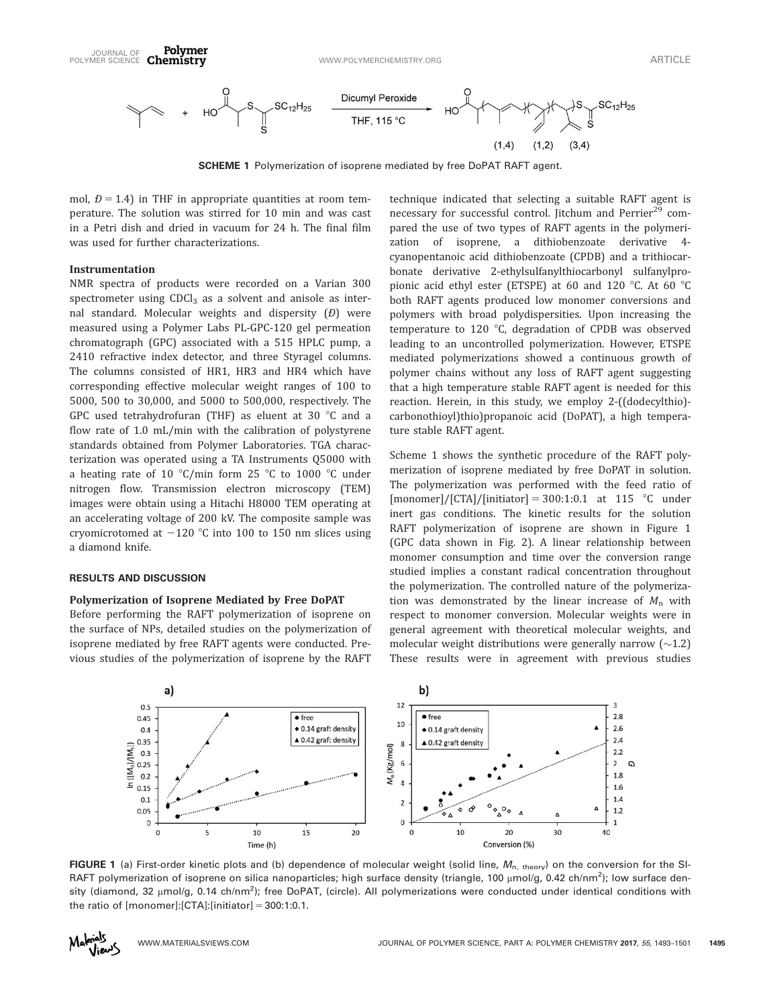

SCHEME 1 Polymerization of isoprene mediated by free DoPAT RAFT agent.

mol,  $D = 1.4$ ) in THF in appropriate quantities at room temperature. The solution was stirred for 10 min and was cast in a Petri dish and dried in vacuum for 24 h. The final film was used for further characterizations.

Polymer

## Instrumentation

NMR spectra of products were recorded on a Varian 300 spectrometer using  $CDCl<sub>3</sub>$  as a solvent and anisole as internal standard. Molecular weights and dispersity  $(D)$  were measured using a Polymer Labs PL-GPC-120 gel permeation chromatograph (GPC) associated with a 515 HPLC pump, a 2410 refractive index detector, and three Styragel columns. The columns consisted of HR1, HR3 and HR4 which have corresponding effective molecular weight ranges of 100 to 5000, 500 to 30,000, and 5000 to 500,000, respectively. The GPC used tetrahydrofuran (THF) as eluent at 30  $\degree$ C and a flow rate of 1.0 mL/min with the calibration of polystyrene standards obtained from Polymer Laboratories. TGA characterization was operated using a TA Instruments Q5000 with a heating rate of 10 °C/min form 25 °C to 1000 °C under nitrogen flow. Transmission electron microscopy (TEM) images were obtain using a Hitachi H8000 TEM operating at an accelerating voltage of 200 kV. The composite sample was cryomicrotomed at  $-120$  °C into 100 to 150 nm slices using a diamond knife.

# RESULTS AND DISCUSSION

#### Polymerization of Isoprene Mediated by Free DoPAT

Before performing the RAFT polymerization of isoprene on the surface of NPs, detailed studies on the polymerization of isoprene mediated by free RAFT agents were conducted. Previous studies of the polymerization of isoprene by the RAFT technique indicated that selecting a suitable RAFT agent is necessary for successful control. Jitchum and Perrier<sup>29</sup> compared the use of two types of RAFT agents in the polymerization of isoprene, a dithiobenzoate derivative 4 cyanopentanoic acid dithiobenzoate (CPDB) and a trithiocarbonate derivative 2-ethylsulfanylthiocarbonyl sulfanylpropionic acid ethyl ester (ETSPE) at 60 and 120  $^{\circ}$ C. At 60  $^{\circ}$ C both RAFT agents produced low monomer conversions and polymers with broad polydispersities. Upon increasing the temperature to 120  $^{\circ}$ C, degradation of CPDB was observed leading to an uncontrolled polymerization. However, ETSPE mediated polymerizations showed a continuous growth of polymer chains without any loss of RAFT agent suggesting that a high temperature stable RAFT agent is needed for this reaction. Herein, in this study, we employ 2-((dodecylthio) carbonothioyl)thio)propanoic acid (DoPAT), a high temperature stable RAFT agent.

Scheme 1 shows the synthetic procedure of the RAFT polymerization of isoprene mediated by free DoPAT in solution. The polymerization was performed with the feed ratio of [monomer]/[CTA]/[initiator] = 300:1:0.1 at 115  $\degree$ C under inert gas conditions. The kinetic results for the solution RAFT polymerization of isoprene are shown in Figure 1 (GPC data shown in Fig. 2). A linear relationship between monomer consumption and time over the conversion range studied implies a constant radical concentration throughout the polymerization. The controlled nature of the polymerization was demonstrated by the linear increase of  $M_n$  with respect to monomer conversion. Molecular weights were in general agreement with theoretical molecular weights, and molecular weight distributions were generally narrow (~1.2) These results were in agreement with previous studies



FIGURE 1 (a) First-order kinetic plots and (b) dependence of molecular weight (solid line,  $M_{n, \text{ theory}}$ ) on the conversion for the SI-RAFT polymerization of isoprene on silica nanoparticles; high surface density (triangle, 100 µmol/g, 0.42 ch/nm<sup>2</sup>); low surface density (diamond, 32 µmol/g, 0.14 ch/nm<sup>2</sup>); free DoPAT, (circle). All polymerizations were conducted under identical conditions with the ratio of  $[monomer]: [CTA]: [initiator] = 300:1:0.1$ .

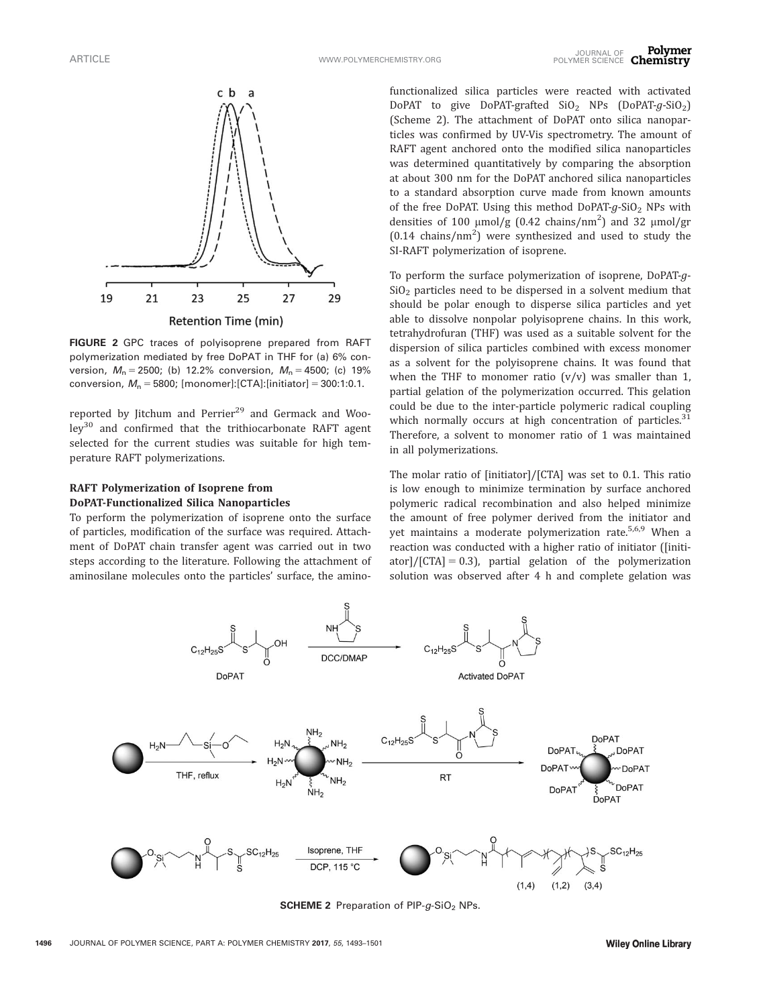

FIGURE 2 GPC traces of polyisoprene prepared from RAFT polymerization mediated by free DoPAT in THF for (a) 6% conversion,  $M_n = 2500$ ; (b) 12.2% conversion,  $M_n = 4500$ ; (c) 19% conversion,  $M_n = 5800$ ; [monomer]:[CTA]:[initiator] = 300:1:0.1.

reported by Jitchum and Perrier $^{29}$  and Germack and Wooley<sup>30</sup> and confirmed that the trithiocarbonate RAFT agent selected for the current studies was suitable for high temperature RAFT polymerizations.

## RAFT Polymerization of Isoprene from DoPAT-Functionalized Silica Nanoparticles

To perform the polymerization of isoprene onto the surface of particles, modification of the surface was required. Attachment of DoPAT chain transfer agent was carried out in two steps according to the literature. Following the attachment of aminosilane molecules onto the particles' surface, the amino-

functionalized silica particles were reacted with activated DoPAT to give DoPAT-grafted  $SiO<sub>2</sub>$  NPs (DoPAT-g-SiO<sub>2</sub>) (Scheme 2). The attachment of DoPAT onto silica nanoparticles was confirmed by UV-Vis spectrometry. The amount of RAFT agent anchored onto the modified silica nanoparticles was determined quantitatively by comparing the absorption at about 300 nm for the DoPAT anchored silica nanoparticles to a standard absorption curve made from known amounts of the free DoPAT. Using this method DoPAT- $q$ -SiO<sub>2</sub> NPs with densities of 100  $\mu$ mol/g (0.42 chains/nm<sup>2</sup>) and 32  $\mu$ mol/gr  $(0.14 \text{ chains/nm}^2)$  were synthesized and used to study the SI-RAFT polymerization of isoprene.

To perform the surface polymerization of isoprene, DoPAT-g- $SiO<sub>2</sub>$  particles need to be dispersed in a solvent medium that should be polar enough to disperse silica particles and yet able to dissolve nonpolar polyisoprene chains. In this work, tetrahydrofuran (THF) was used as a suitable solvent for the dispersion of silica particles combined with excess monomer as a solvent for the polyisoprene chains. It was found that when the THF to monomer ratio  $(v/v)$  was smaller than 1, partial gelation of the polymerization occurred. This gelation could be due to the inter-particle polymeric radical coupling which normally occurs at high concentration of particles. $31$ Therefore, a solvent to monomer ratio of 1 was maintained in all polymerizations.

The molar ratio of [initiator]/[CTA] was set to 0.1. This ratio is low enough to minimize termination by surface anchored polymeric radical recombination and also helped minimize the amount of free polymer derived from the initiator and yet maintains a moderate polymerization rate.<sup>5,6,9</sup> When a reaction was conducted with a higher ratio of initiator ([initiator]/ $[CTA] = 0.3$ , partial gelation of the polymerization solution was observed after 4 h and complete gelation was



**SCHEME 2** Preparation of PIP- $q$ -SiO<sub>2</sub> NPs.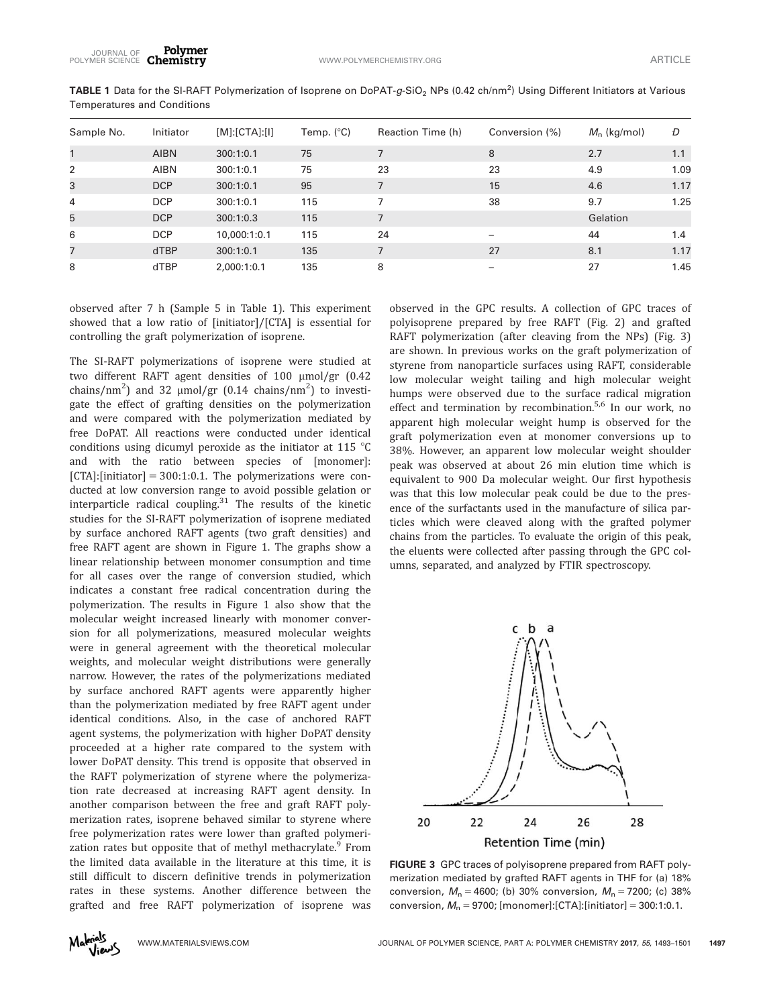| Sample No.     | Initiator   | [M]:[CTA]:[1] | Temp. $(^{\circ}C)$ | Reaction Time (h) | Conversion (%) | $M_n$ (kg/mol) | Ð    |
|----------------|-------------|---------------|---------------------|-------------------|----------------|----------------|------|
|                | <b>AIBN</b> | 300:1:0.1     | 75                  |                   | 8              | 2.7            | 1.1  |
| 2              | <b>AIBN</b> | 300:1:0.1     | 75                  | 23                | 23             | 4.9            | 1.09 |
| 3              | <b>DCP</b>  | 300:1:0.1     | 95                  |                   | 15             | 4.6            | 1.17 |
| $\overline{4}$ | <b>DCP</b>  | 300:1:0.1     | 115                 | 7                 | 38             | 9.7            | 1.25 |
| 5              | <b>DCP</b>  | 300:1:0.3     | 115                 | 7                 |                | Gelation       |      |
| 6              | <b>DCP</b>  | 10,000:1:0.1  | 115                 | 24                |                | 44             | 1.4  |
| 7              | <b>dTBP</b> | 300:1:0.1     | 135                 |                   | 27             | 8.1            | 1.17 |
| 8              | dTBP        | 2.000:1:0.1   | 135                 | 8                 |                | 27             | 1.45 |

**TABLE 1** Data for the SI-RAFT Polymerization of Isoprene on DoPAT-g-SiO<sub>2</sub> NPs (0.42 ch/nm<sup>2</sup>) Using Different Initiators at Various Temperatures and Conditions

observed after 7 h (Sample 5 in Table 1). This experiment showed that a low ratio of [initiator]/[CTA] is essential for controlling the graft polymerization of isoprene.

Polymer

The SI-RAFT polymerizations of isoprene were studied at two different RAFT agent densities of 100 µmol/gr (0.42 chains/nm<sup>2</sup>) and 32  $\mu$ mol/gr (0.14 chains/nm<sup>2</sup>) to investigate the effect of grafting densities on the polymerization and were compared with the polymerization mediated by free DoPAT. All reactions were conducted under identical conditions using dicumyl peroxide as the initiator at 115  $\degree$ C and with the ratio between species of [monomer]:  $[CTA]:$ [initiator] = 300:1:0.1. The polymerizations were conducted at low conversion range to avoid possible gelation or interparticle radical coupling. $31$  The results of the kinetic studies for the SI-RAFT polymerization of isoprene mediated by surface anchored RAFT agents (two graft densities) and free RAFT agent are shown in Figure 1. The graphs show a linear relationship between monomer consumption and time for all cases over the range of conversion studied, which indicates a constant free radical concentration during the polymerization. The results in Figure 1 also show that the molecular weight increased linearly with monomer conversion for all polymerizations, measured molecular weights were in general agreement with the theoretical molecular weights, and molecular weight distributions were generally narrow. However, the rates of the polymerizations mediated by surface anchored RAFT agents were apparently higher than the polymerization mediated by free RAFT agent under identical conditions. Also, in the case of anchored RAFT agent systems, the polymerization with higher DoPAT density proceeded at a higher rate compared to the system with lower DoPAT density. This trend is opposite that observed in the RAFT polymerization of styrene where the polymerization rate decreased at increasing RAFT agent density. In another comparison between the free and graft RAFT polymerization rates, isoprene behaved similar to styrene where free polymerization rates were lower than grafted polymerization rates but opposite that of methyl methacrylate.<sup>9</sup> From the limited data available in the literature at this time, it is still difficult to discern definitive trends in polymerization rates in these systems. Another difference between the grafted and free RAFT polymerization of isoprene was

observed in the GPC results. A collection of GPC traces of polyisoprene prepared by free RAFT (Fig. 2) and grafted RAFT polymerization (after cleaving from the NPs) (Fig. 3) are shown. In previous works on the graft polymerization of styrene from nanoparticle surfaces using RAFT, considerable low molecular weight tailing and high molecular weight humps were observed due to the surface radical migration effect and termination by recombination.<sup>5,6</sup> In our work, no apparent high molecular weight hump is observed for the graft polymerization even at monomer conversions up to 38%. However, an apparent low molecular weight shoulder peak was observed at about 26 min elution time which is equivalent to 900 Da molecular weight. Our first hypothesis was that this low molecular peak could be due to the presence of the surfactants used in the manufacture of silica particles which were cleaved along with the grafted polymer chains from the particles. To evaluate the origin of this peak, the eluents were collected after passing through the GPC columns, separated, and analyzed by FTIR spectroscopy.



FIGURE 3 GPC traces of polyisoprene prepared from RAFT polymerization mediated by grafted RAFT agents in THF for (a) 18% conversion,  $M_n = 4600$ ; (b) 30% conversion,  $M_n = 7200$ ; (c) 38% conversion,  $M_n = 9700$ ; [monomer]: [CTA]: [initiator] = 300:1:0.1.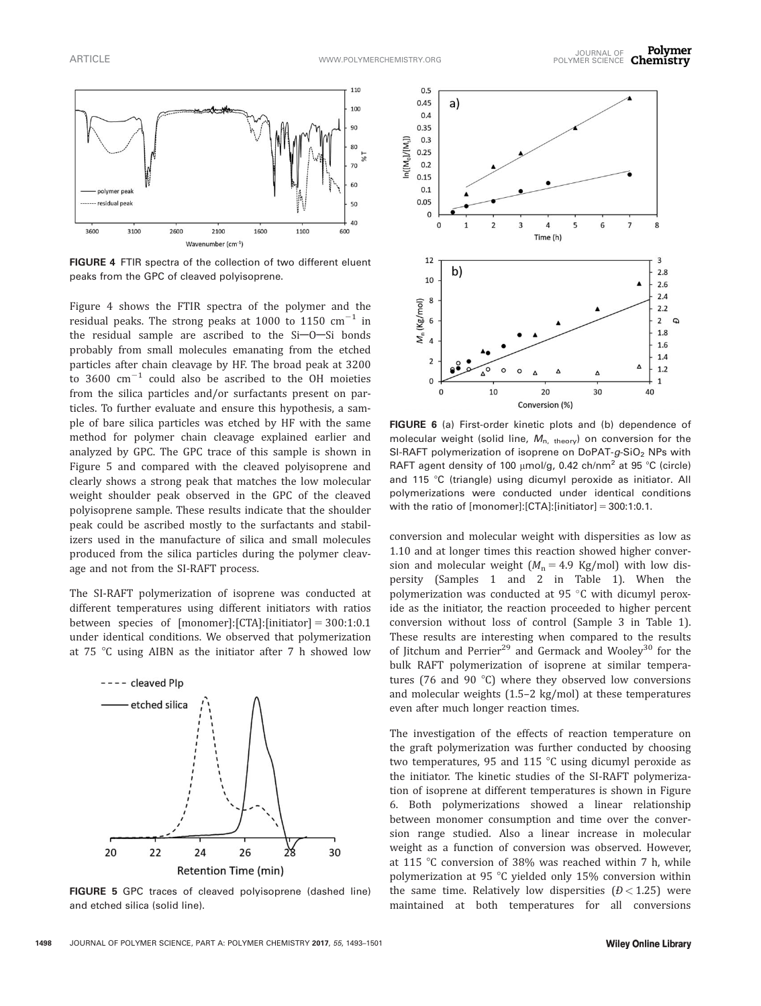

FIGURE 4 FTIR spectra of the collection of two different eluent peaks from the GPC of cleaved polyisoprene.

Figure 4 shows the FTIR spectra of the polymer and the residual peaks. The strong peaks at 1000 to 1150  $\text{cm}^{-1}$  in the residual sample are ascribed to the  $Si$ -O-Si bonds probably from small molecules emanating from the etched particles after chain cleavage by HF. The broad peak at 3200 to 3600  $\text{cm}^{-1}$  could also be ascribed to the OH moieties from the silica particles and/or surfactants present on particles. To further evaluate and ensure this hypothesis, a sample of bare silica particles was etched by HF with the same method for polymer chain cleavage explained earlier and analyzed by GPC. The GPC trace of this sample is shown in Figure 5 and compared with the cleaved polyisoprene and clearly shows a strong peak that matches the low molecular weight shoulder peak observed in the GPC of the cleaved polyisoprene sample. These results indicate that the shoulder peak could be ascribed mostly to the surfactants and stabilizers used in the manufacture of silica and small molecules produced from the silica particles during the polymer cleavage and not from the SI-RAFT process.

The SI-RAFT polymerization of isoprene was conducted at different temperatures using different initiators with ratios between species of  $[monomer]:[CTA]:[initiator] = 300:1:0.1$ under identical conditions. We observed that polymerization at 75  $\degree$ C using AIBN as the initiator after 7 h showed low



FIGURE 5 GPC traces of cleaved polyisoprene (dashed line) and etched silica (solid line).



FIGURE 6 (a) First-order kinetic plots and (b) dependence of molecular weight (solid line,  $M_{\text{n, theory}}$ ) on conversion for the SI-RAFT polymerization of isoprene on DoPAT- $g$ -SiO<sub>2</sub> NPs with RAFT agent density of 100  $\mu$ mol/g, 0.42 ch/nm<sup>2</sup> at 95 °C (circle) and 115 °C (triangle) using dicumyl peroxide as initiator. All polymerizations were conducted under identical conditions with the ratio of  $[monomer]:[CTA]:[initiator] = 300:1:0.1$ .

conversion and molecular weight with dispersities as low as 1.10 and at longer times this reaction showed higher conversion and molecular weight  $(M_n = 4.9 \text{ Kg/mol})$  with low dispersity (Samples 1 and 2 in Table 1). When the polymerization was conducted at 95  $\degree$ C with dicumyl peroxide as the initiator, the reaction proceeded to higher percent conversion without loss of control (Sample 3 in Table 1). These results are interesting when compared to the results of Jitchum and Perrier<sup>29</sup> and Germack and Wooley<sup>30</sup> for the bulk RAFT polymerization of isoprene at similar temperatures (76 and 90 $\degree$ C) where they observed low conversions and molecular weights (1.5–2 kg/mol) at these temperatures even after much longer reaction times.

The investigation of the effects of reaction temperature on the graft polymerization was further conducted by choosing two temperatures, 95 and 115  $^{\circ}$ C using dicumyl peroxide as the initiator. The kinetic studies of the SI-RAFT polymerization of isoprene at different temperatures is shown in Figure 6. Both polymerizations showed a linear relationship between monomer consumption and time over the conversion range studied. Also a linear increase in molecular weight as a function of conversion was observed. However, at 115 °C conversion of 38% was reached within 7 h, while polymerization at 95  $^{\circ}$ C yielded only 15% conversion within the same time. Relatively low dispersities  $(D < 1.25)$  were maintained at both temperatures for all conversions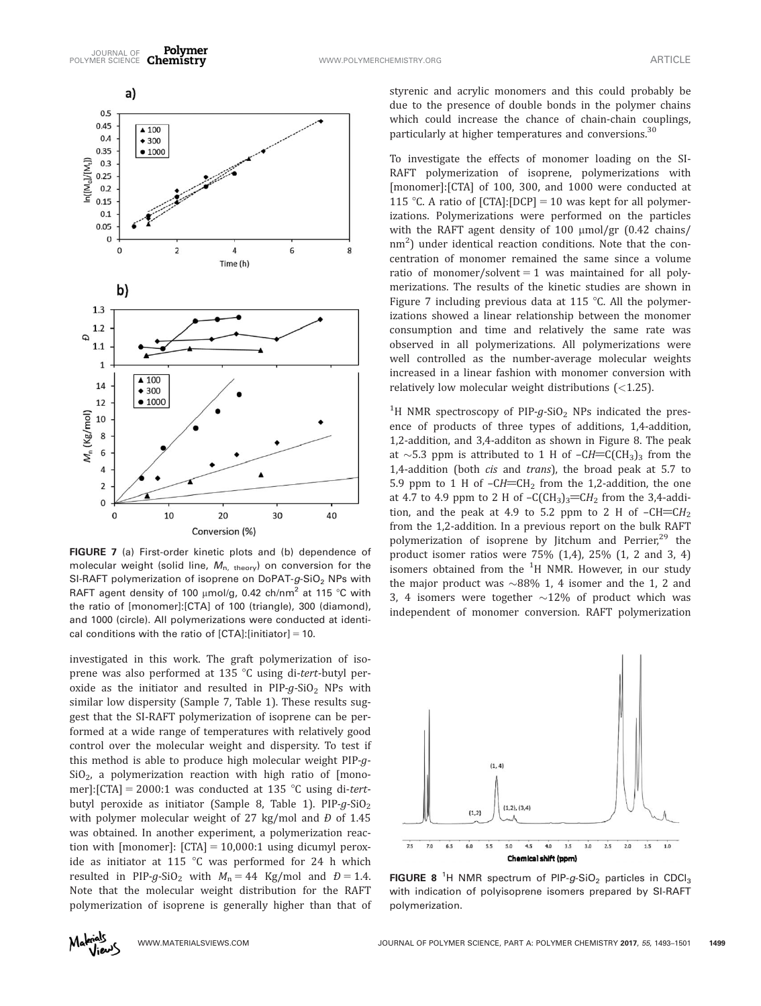

FIGURE 7 (a) First-order kinetic plots and (b) dependence of molecular weight (solid line,  $M_{n, \text{theory}}$ ) on conversion for the SI-RAFT polymerization of isoprene on DoPAT- $g$ -SiO<sub>2</sub> NPs with RAFT agent density of 100  $\mu$ mol/g, 0.42 ch/nm<sup>2</sup> at 115 °C with the ratio of [monomer]:[CTA] of 100 (triangle), 300 (diamond), and 1000 (circle). All polymerizations were conducted at identical conditions with the ratio of  $[CTA]:$ [initiator] = 10.

investigated in this work. The graft polymerization of isoprene was also performed at 135  $\degree$ C using di-tert-butyl peroxide as the initiator and resulted in  $PIP-g-SiO<sub>2</sub>$  NPs with similar low dispersity (Sample 7, Table 1). These results suggest that the SI-RAFT polymerization of isoprene can be performed at a wide range of temperatures with relatively good control over the molecular weight and dispersity. To test if this method is able to produce high molecular weight PIP-g- $SiO<sub>2</sub>$ , a polymerization reaction with high ratio of [monomer]:[CTA] = 2000:1 was conducted at 135 °C using di-tertbutyl peroxide as initiator (Sample 8, Table 1). PIP- $g$ -SiO<sub>2</sub> with polymer molecular weight of 27 kg/mol and  $\hat{D}$  of 1.45 was obtained. In another experiment, a polymerization reaction with [monomer]:  $[CTA] = 10,000:1$  using dicumyl peroxide as initiator at 115  $\degree$ C was performed for 24 h which resulted in PIP-g-SiO<sub>2</sub> with  $M_n = 44$  Kg/mol and  $D = 1.4$ . Note that the molecular weight distribution for the RAFT polymerization of isoprene is generally higher than that of styrenic and acrylic monomers and this could probably be due to the presence of double bonds in the polymer chains which could increase the chance of chain-chain couplings, particularly at higher temperatures and conversions.<sup>30</sup>

To investigate the effects of monomer loading on the SI-RAFT polymerization of isoprene, polymerizations with [monomer]:[CTA] of 100, 300, and 1000 were conducted at 115 °C. A ratio of  $[CTA]:[DCP] = 10$  was kept for all polymerizations. Polymerizations were performed on the particles with the RAFT agent density of 100  $\mu$ mol/gr (0.42 chains/  $\text{nm}^2$ ) under identical reaction conditions. Note that the concentration of monomer remained the same since a volume ratio of monomer/solvent  $= 1$  was maintained for all polymerizations. The results of the kinetic studies are shown in Figure 7 including previous data at 115  $\degree$ C. All the polymerizations showed a linear relationship between the monomer consumption and time and relatively the same rate was observed in all polymerizations. All polymerizations were well controlled as the number-average molecular weights increased in a linear fashion with monomer conversion with relatively low molecular weight distributions  $(<1.25$ ).

 $^{1}$ H NMR spectroscopy of PIP-g-SiO<sub>2</sub> NPs indicated the presence of products of three types of additions, 1,4-addition, 1,2-addition, and 3,4-additon as shown in Figure 8. The peak at  $\sim$ 5.3 ppm is attributed to 1 H of –CH=C(CH<sub>3</sub>)<sub>3</sub> from the 1,4-addition (both *cis* and *trans*), the broad peak at 5.7 to 5.9 ppm to 1 H of  $-CH=CH<sub>2</sub>$  from the 1,2-addition, the one at 4.7 to 4.9 ppm to 2 H of  $-C(CH_3)_3=CH_2$  from the 3,4-addition, and the peak at 4.9 to 5.2 ppm to 2 H of  $-CH=CH<sub>2</sub>$ from the 1,2-addition. In a previous report on the bulk RAFT polymerization of isoprene by Jitchum and Perrier,<sup>29</sup> the product isomer ratios were 75% (1,4), 25% (1, 2 and 3, 4) isomers obtained from the  $^1\mathrm{H}$  NMR. However, in our study the major product was  ${\sim}{88\%}$  1, 4 isomer and the 1, 2 and 3, 4 isomers were together  $\sim$ 12% of product which was independent of monomer conversion. RAFT polymerization



FIGURE 8<sup>1</sup>H NMR spectrum of PIP- $g$ -SiO<sub>2</sub> particles in CDCl<sub>3</sub> with indication of polyisoprene isomers prepared by SI-RAFT polymerization.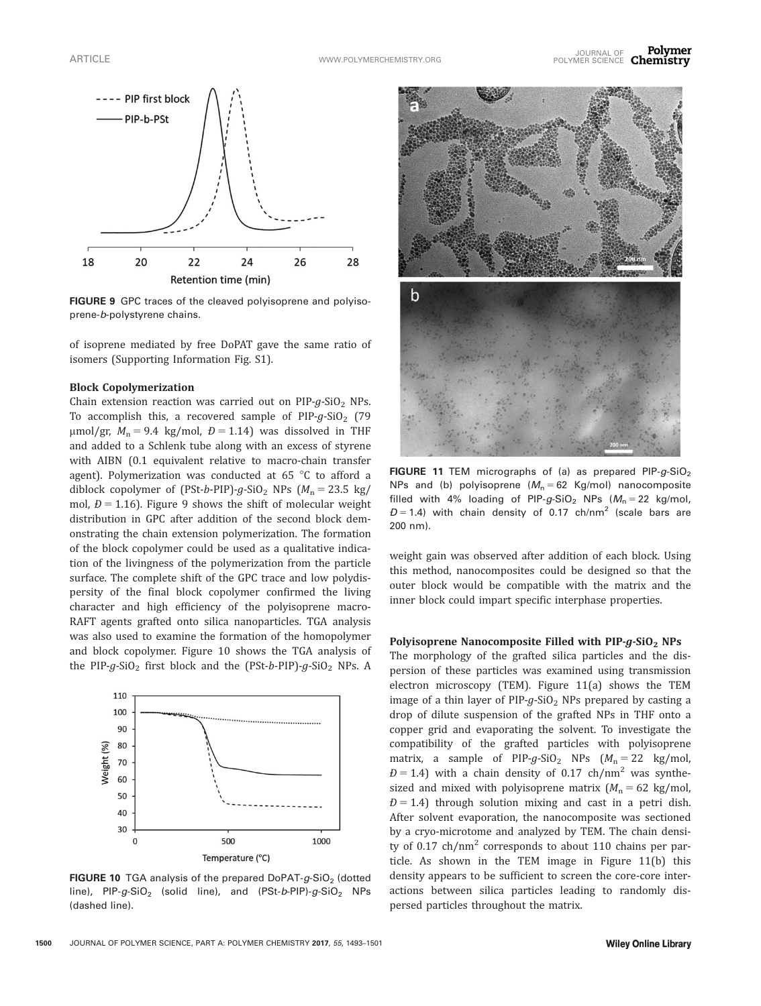

FIGURE 9 GPC traces of the cleaved polyisoprene and polyisoprene-b-polystyrene chains.

of isoprene mediated by free DoPAT gave the same ratio of isomers (Supporting Information Fig. S1).

#### Block Copolymerization

Chain extension reaction was carried out on  $PIP-g-SiO<sub>2</sub>$  NPs. To accomplish this, a recovered sample of  $PIP-g-SiO<sub>2</sub>$  (79  $\mu$ mol/gr,  $M_n = 9.4$  kg/mol,  $D = 1.14$ ) was dissolved in THF and added to a Schlenk tube along with an excess of styrene with AIBN (0.1 equivalent relative to macro-chain transfer agent). Polymerization was conducted at 65  $^{\circ}$ C to afford a diblock copolymer of (PSt-b-PIP)-g-SiO<sub>2</sub> NPs ( $M_n = 23.5$  kg/ mol,  $D = 1.16$ ). Figure 9 shows the shift of molecular weight distribution in GPC after addition of the second block demonstrating the chain extension polymerization. The formation of the block copolymer could be used as a qualitative indication of the livingness of the polymerization from the particle surface. The complete shift of the GPC trace and low polydispersity of the final block copolymer confirmed the living character and high efficiency of the polyisoprene macro-RAFT agents grafted onto silica nanoparticles. TGA analysis was also used to examine the formation of the homopolymer and block copolymer. Figure 10 shows the TGA analysis of the PIP-g-SiO<sub>2</sub> first block and the (PSt-b-PIP)-g-SiO<sub>2</sub> NPs. A



**FIGURE 10** TGA analysis of the prepared DoPAT- $q$ -SiO<sub>2</sub> (dotted line),  $PIP-g-SiO<sub>2</sub>$  (solid line), and (PSt-b-PIP)-g-SiO<sub>2</sub> NPs (dashed line).



FIGURE 11 TEM micrographs of (a) as prepared  $PIP-g-SiO<sub>2</sub>$ NPs and (b) polyisoprene  $(M_n = 62 \text{ Kg/mol})$  nanocomposite filled with 4% loading of PIP- $g$ -SiO<sub>2</sub> NPs ( $M_n = 22$  kg/mol,  $D = 1.4$ ) with chain density of 0.17 ch/nm<sup>2</sup> (scale bars are 200 nm).

weight gain was observed after addition of each block. Using this method, nanocomposites could be designed so that the outer block would be compatible with the matrix and the inner block could impart specific interphase properties.

#### Polyisoprene Nanocomposite Filled with  $PIP-g-SiO<sub>2</sub>$  NPs

The morphology of the grafted silica particles and the dispersion of these particles was examined using transmission electron microscopy (TEM). Figure 11(a) shows the TEM image of a thin layer of  $PIP-g-SiO<sub>2</sub>$  NPs prepared by casting a drop of dilute suspension of the grafted NPs in THF onto a copper grid and evaporating the solvent. To investigate the compatibility of the grafted particles with polyisoprene matrix, a sample of PIP-g-SiO<sub>2</sub> NPs  $(M_n = 22 \text{ kg/mol})$  $D = 1.4$ ) with a chain density of 0.17 ch/nm<sup>2</sup> was synthesized and mixed with polyisoprene matrix  $(M_n = 62 \text{ kg/mol})$ ,  $D = 1.4$ ) through solution mixing and cast in a petri dish. After solvent evaporation, the nanocomposite was sectioned by a cryo-microtome and analyzed by TEM. The chain density of 0.17  $\text{ch/nm}^2$  corresponds to about 110 chains per particle. As shown in the TEM image in Figure 11(b) this density appears to be sufficient to screen the core-core interactions between silica particles leading to randomly dispersed particles throughout the matrix.